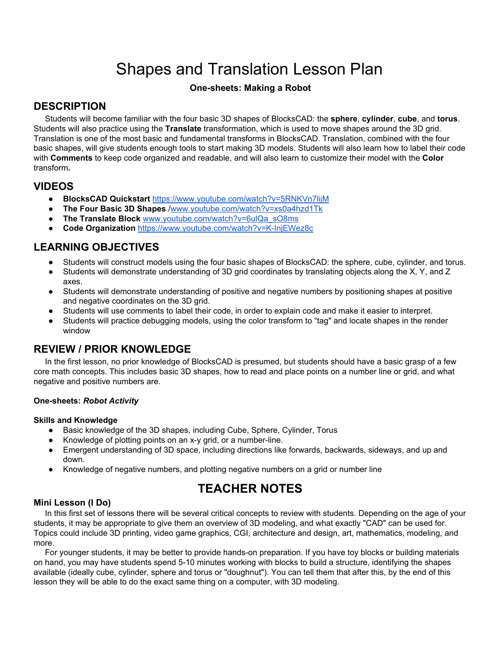# Shapes and Translation Lesson Plan

### **One-sheets: Making a Robot**

# **DESCRIPTION**

Students will become familiar with the four basic 3D shapes of BlocksCAD: the **sphere**, **cylinder**, **cube**, and **torus**. Students will also practice using the **Translate** transformation, which is used to move shapes around the 3D grid. Translation is one of the most basic and fundamental transforms in BlocksCAD. Translation, combined with the four basic shapes, will give students enough tools to start making 3D models. Students will also learn how to label their code with **Comments** to keep code organized and readable, and will also learn to customize their model with the **Color** transform**.**

### **VIDEOS**

- **BlocksCAD Quickstart** [https://www.youtube.com/watch?v=5RNKVn7lijM](https://www.youtube.com/watch?v=5RNKVn7lijM&t=1s)
- **The Four Basic 3D Shapes** /[www.youtube.com/watch?v=xs0a4hzd1Tk](http://www.youtube.com/watch?v=xs0a4hzd1Tk)
- **The Translate Block** [www.youtube.com/watch?v=6ulQa\\_sO8ms](http://www.youtube.com/watch?v=6ulQa_sO8ms)
- **Code Organization** <https://www.youtube.com/watch?v=K-InjEWez8c>

# **LEARNING OBJECTIVES**

- Students will construct models using the four basic shapes of BlocksCAD: the sphere, cube, cylinder, and torus.
- Students will demonstrate understanding of 3D grid coordinates by translating objects along the X, Y, and Z axes.
- Students will demonstrate understanding of positive and negative numbers by positioning shapes at positive and negative coordinates on the 3D grid.
- Students will use comments to label their code, in order to explain code and make it easier to interpret.
- Students will practice debugging models, using the color transform to "tag" and locate shapes in the render window

# **REVIEW / PRIOR KNOWLEDGE**

In the first lesson, no prior knowledge of BlocksCAD is presumed, but students should have a basic grasp of a few core math concepts. This includes basic 3D shapes, how to read and place points on a number line or grid, and what negative and positive numbers are.

### **One-sheets:** *Robot Activity*

#### **Skills and Knowledge**

- Basic knowledge of the 3D shapes, including Cube, Sphere, Cylinder, Torus
- Knowledge of plotting points on an x-y grid, or a number-line.
- Emergent understanding of 3D space, including directions like forwards, backwards, sideways, and up and down.
- Knowledge of negative numbers, and plotting negative numbers on a grid or number line

# **TEACHER NOTES**

### **Mini Lesson (I Do)**

In this first set of lessons there will be several critical concepts to review with students. Depending on the age of your students, it may be appropriate to give them an overview of 3D modeling, and what exactly "CAD" can be used for. Topics could include 3D printing, video game graphics, CGI, architecture and design, art, mathematics, modeling, and more.

For younger students, it may be better to provide hands-on preparation. If you have toy blocks or building materials on hand, you may have students spend 5-10 minutes working with blocks to build a structure, identifying the shapes available (ideally cube, cylinder, sphere and torus or "doughnut"). You can tell them that after this, by the end of this lesson they will be able to do the exact same thing on a computer, with 3D modeling.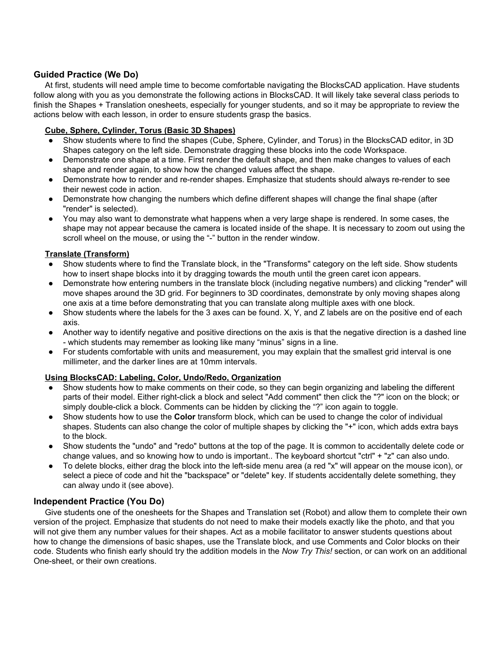### **Guided Practice (We Do)**

At first, students will need ample time to become comfortable navigating the BlocksCAD application. Have students follow along with you as you demonstrate the following actions in BlocksCAD. It will likely take several class periods to finish the Shapes + Translation onesheets, especially for younger students, and so it may be appropriate to review the actions below with each lesson, in order to ensure students grasp the basics.

### **Cube, Sphere, Cylinder, Torus (Basic 3D Shapes)**

- Show students where to find the shapes (Cube, Sphere, Cylinder, and Torus) in the BlocksCAD editor, in 3D Shapes category on the left side. Demonstrate dragging these blocks into the code Workspace.
- Demonstrate one shape at a time. First render the default shape, and then make changes to values of each shape and render again, to show how the changed values affect the shape.
- Demonstrate how to render and re-render shapes. Emphasize that students should always re-render to see their newest code in action.
- Demonstrate how changing the numbers which define different shapes will change the final shape (after "render" is selected).
- You may also want to demonstrate what happens when a very large shape is rendered. In some cases, the shape may not appear because the camera is located inside of the shape. It is necessary to zoom out using the scroll wheel on the mouse, or using the "-" button in the render window.

### **Translate (Transform)**

- Show students where to find the Translate block, in the "Transforms" category on the left side. Show students how to insert shape blocks into it by dragging towards the mouth until the green caret icon appears.
- Demonstrate how entering numbers in the translate block (including negative numbers) and clicking "render" will move shapes around the 3D grid. For beginners to 3D coordinates, demonstrate by only moving shapes along one axis at a time before demonstrating that you can translate along multiple axes with one block.
- $\bullet$  Show students where the labels for the 3 axes can be found. X, Y, and Z labels are on the positive end of each axis.
- Another way to identify negative and positive directions on the axis is that the negative direction is a dashed line - which students may remember as looking like many "minus" signs in a line.
- For students comfortable with units and measurement, you may explain that the smallest grid interval is one millimeter, and the darker lines are at 10mm intervals.

### **Using BlocksCAD: Labeling, Color, Undo/Redo, Organization**

- Show students how to make comments on their code, so they can begin organizing and labeling the different parts of their model. Either right-click a block and select "Add comment" then click the "?" icon on the block; or simply double-click a block. Comments can be hidden by clicking the "?" icon again to toggle.
- Show students how to use the **Color** transform block, which can be used to change the color of individual shapes. Students can also change the color of multiple shapes by clicking the "+" icon, which adds extra bays to the block.
- Show students the "undo" and "redo" buttons at the top of the page. It is common to accidentally delete code or change values, and so knowing how to undo is important.. The keyboard shortcut "ctrl" + "z" can also undo.
- To delete blocks, either drag the block into the left-side menu area (a red "x" will appear on the mouse icon), or select a piece of code and hit the "backspace" or "delete" key. If students accidentally delete something, they can alway undo it (see above).

### **Independent Practice (You Do)**

Give students one of the onesheets for the Shapes and Translation set (Robot) and allow them to complete their own version of the project. Emphasize that students do not need to make their models exactly like the photo, and that you will not give them any number values for their shapes. Act as a mobile facilitator to answer students questions about how to change the dimensions of basic shapes, use the Translate block, and use Comments and Color blocks on their code. Students who finish early should try the addition models in the *Now Try This!* section, or can work on an additional One-sheet, or their own creations.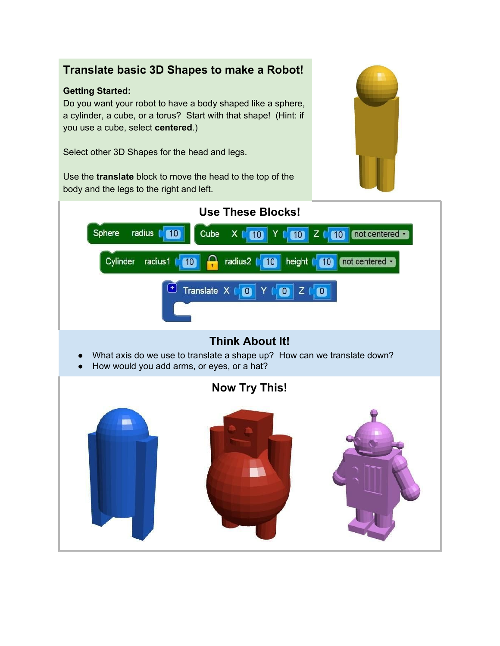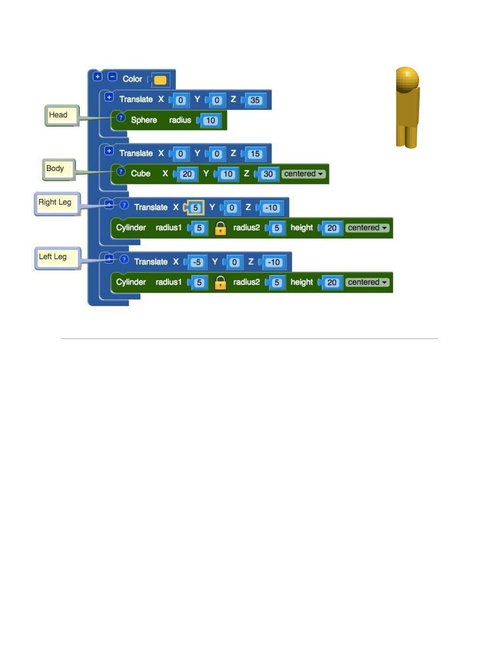